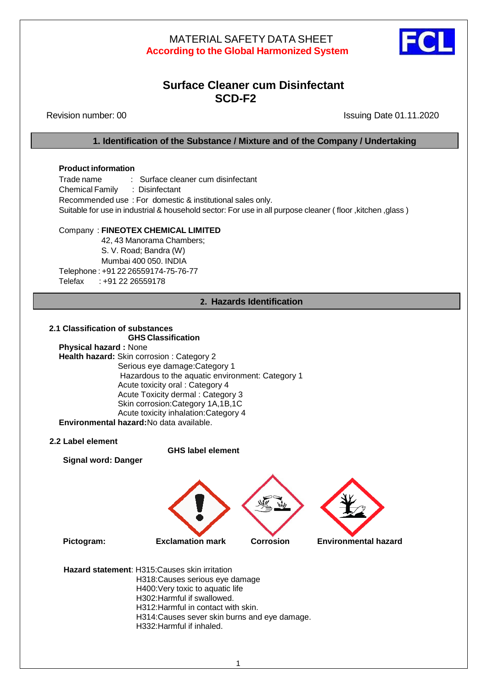

# **Surface Cleaner cum Disinfectant SCD-F2**

Revision number: 00 Issuing Date 01.11.2020

**1. Identification of the Substance / Mixture and of the Company / Undertaking**

### **Product information**

Trade name : Surface cleaner cum disinfectant Chemical Family : Disinfectant Recommended use : For domestic & institutional sales only. Suitable for use in industrial & household sector: For use in all purpose cleaner ( floor ,kitchen ,glass )

## Company : **FINEOTEX CHEMICAL LIMITED**

42, 43 Manorama Chambers; S. V. Road; Bandra (W) Mumbai 400 050. INDIA Telephone : +91 22 26559174-75-76-77 Telefax : +91 22 26559178

## **2. Hazards Identification**

#### **2.1 Classification of substances GHS Classification**

**Physical hazard :** None **Health hazard:** Skin corrosion : Category 2 Serious eye damage:Category 1 Hazardous to the aquatic environment: Category 1Acute toxicity oral : Category 4 Acute Toxicity dermal : Category 3 Skin corrosion:Category 1A,1B,1C Acute toxicity inhalation:Category 4 **Environmental hazard:**No data available.

### **2.2 Label element**

 **GHS label element**

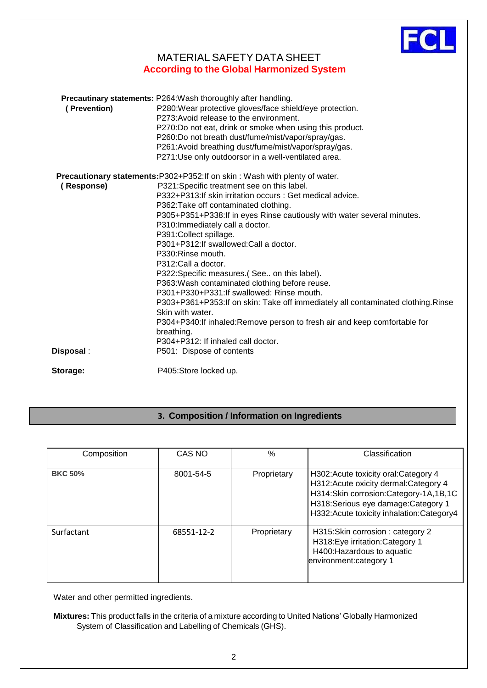

|                                                                                    | (Prevention) | <b>Precautinary statements: P264: Wash thoroughly after handling.</b><br>P280: Wear protective gloves/face shield/eye protection.<br>P273: Avoid release to the environment.<br>P270:Do not eat, drink or smoke when using this product.<br>P260:Do not breath dust/fume/mist/vapor/spray/gas.<br>P261:Avoid breathing dust/fume/mist/vapor/spray/gas. |  |  |
|------------------------------------------------------------------------------------|--------------|--------------------------------------------------------------------------------------------------------------------------------------------------------------------------------------------------------------------------------------------------------------------------------------------------------------------------------------------------------|--|--|
|                                                                                    |              | P271:Use only outdoorsor in a well-ventilated area.                                                                                                                                                                                                                                                                                                    |  |  |
| <b>Precautionary statements: P302+P352: If on skin: Wash with plenty of water.</b> |              |                                                                                                                                                                                                                                                                                                                                                        |  |  |
|                                                                                    | (Response)   | P321:Specific treatment see on this label.                                                                                                                                                                                                                                                                                                             |  |  |
|                                                                                    |              | P332+P313:If skin irritation occurs : Get medical advice.                                                                                                                                                                                                                                                                                              |  |  |
|                                                                                    |              | P362: Take off contaminated clothing.                                                                                                                                                                                                                                                                                                                  |  |  |
|                                                                                    |              | P305+P351+P338: If in eyes Rinse cautiously with water several minutes.                                                                                                                                                                                                                                                                                |  |  |
|                                                                                    |              | P310: Immediately call a doctor.                                                                                                                                                                                                                                                                                                                       |  |  |
|                                                                                    |              | P391: Collect spillage.                                                                                                                                                                                                                                                                                                                                |  |  |
|                                                                                    |              | P301+P312: If swallowed: Call a doctor.                                                                                                                                                                                                                                                                                                                |  |  |
|                                                                                    |              | P330: Rinse mouth.                                                                                                                                                                                                                                                                                                                                     |  |  |
|                                                                                    |              | P312:Call a doctor.                                                                                                                                                                                                                                                                                                                                    |  |  |
|                                                                                    |              | P322: Specific measures (See on this label).                                                                                                                                                                                                                                                                                                           |  |  |
|                                                                                    |              | P363: Wash contaminated clothing before reuse.                                                                                                                                                                                                                                                                                                         |  |  |
|                                                                                    |              | P301+P330+P331: If swallowed: Rinse mouth.                                                                                                                                                                                                                                                                                                             |  |  |
|                                                                                    |              | P303+P361+P353:If on skin: Take off immediately all contaminated clothing. Rinse                                                                                                                                                                                                                                                                       |  |  |
|                                                                                    |              | Skin with water.                                                                                                                                                                                                                                                                                                                                       |  |  |
|                                                                                    |              | P304+P340:If inhaled:Remove person to fresh air and keep comfortable for                                                                                                                                                                                                                                                                               |  |  |
|                                                                                    |              | breathing.                                                                                                                                                                                                                                                                                                                                             |  |  |
|                                                                                    |              | P304+P312: If inhaled call doctor.                                                                                                                                                                                                                                                                                                                     |  |  |
|                                                                                    | Disposal:    | P501: Dispose of contents                                                                                                                                                                                                                                                                                                                              |  |  |
|                                                                                    | Storage:     | P405:Store locked up.                                                                                                                                                                                                                                                                                                                                  |  |  |
|                                                                                    |              |                                                                                                                                                                                                                                                                                                                                                        |  |  |

# **3. Composition / Information on Ingredients**

| Composition    | CAS NO     | $\%$        | Classification                                                                                                                                                                                               |
|----------------|------------|-------------|--------------------------------------------------------------------------------------------------------------------------------------------------------------------------------------------------------------|
| <b>BKC 50%</b> | 8001-54-5  | Proprietary | H302: Acute toxicity oral: Category 4<br>H312: Acute oxicity dermal: Category 4<br>H314:Skin corrosion:Category-1A,1B,1C<br>H318:Serious eye damage:Category 1<br>H332: Acute toxicity inhalation: Category4 |
| Surfactant     | 68551-12-2 | Proprietary | H315: Skin corrosion: category 2<br>H318:Eye irritation:Category 1<br>H400: Hazardous to aquatic<br>environment: category 1                                                                                  |

Water and other permitted ingredients.

**Mixtures:** This product falls in the criteria of a mixture according to United Nations' Globally Harmonized System of Classification and Labelling of Chemicals (GHS).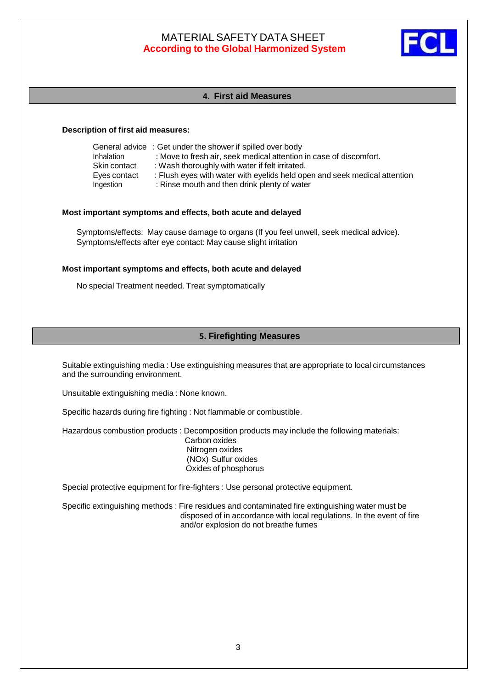

## **4. First aid Measures**

#### **Description of first aid measures:**

| General advice : Get under the shower if spilled over body                |
|---------------------------------------------------------------------------|
| : Move to fresh air, seek medical attention in case of discomfort.        |
| : Wash thoroughly with water if felt irritated.                           |
| : Flush eyes with water with eyelids held open and seek medical attention |
| : Rinse mouth and then drink plenty of water                              |
|                                                                           |

#### **Most important symptoms and effects, both acute and delayed**

Symptoms/effects: May cause damage to organs (If you feel unwell, seek medical advice). Symptoms/effects after eye contact: May cause slight irritation

#### **Most important symptoms and effects, both acute and delayed**

No special Treatment needed. Treat symptomatically

## **5. Firefighting Measures**

Suitable extinguishing media : Use extinguishing measures that are appropriate to local circumstances and the surrounding environment.

Unsuitable extinguishing media : None known.

Specific hazards during fire fighting : Not flammable or combustible.

Hazardous combustion products : Decomposition products may include the following materials:

Carbon oxides Nitrogen oxides (NOx) Sulfur oxides Oxides of phosphorus

Special protective equipment for fire-fighters : Use personal protective equipment.

Specific extinguishing methods : Fire residues and contaminated fire extinguishing water must be disposed of in accordance with local regulations. In the event of fire and/or explosion do not breathe fumes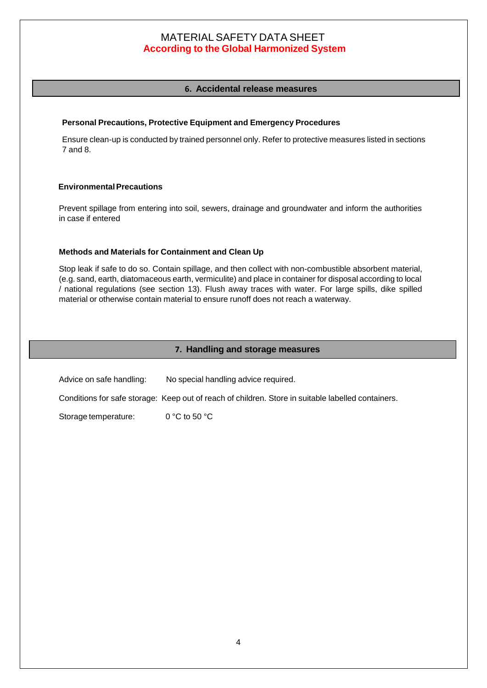## **6. Accidental release measures**

### **Personal Precautions, Protective Equipment and Emergency Procedures**

Ensure clean-up is conducted by trained personnel only. Refer to protective measures listed in sections 7 and 8.

### **EnvironmentalPrecautions**

Prevent spillage from entering into soil, sewers, drainage and groundwater and inform the authorities in case if entered

### **Methods and Materials for Containment and Clean Up**

Stop leak if safe to do so. Contain spillage, and then collect with non-combustible absorbent material, (e.g. sand, earth, diatomaceous earth, vermiculite) and place in container for disposal according to local / national regulations (see section 13). Flush away traces with water. For large spills, dike spilled material or otherwise contain material to ensure runoff does not reach a waterway.

### **7. Handling and storage measures**

Advice on safe handling: No special handling advice required. Conditions for safe storage: Keep out of reach of children. Store in suitable labelled containers.

Storage temperature: 0 °C to 50 °C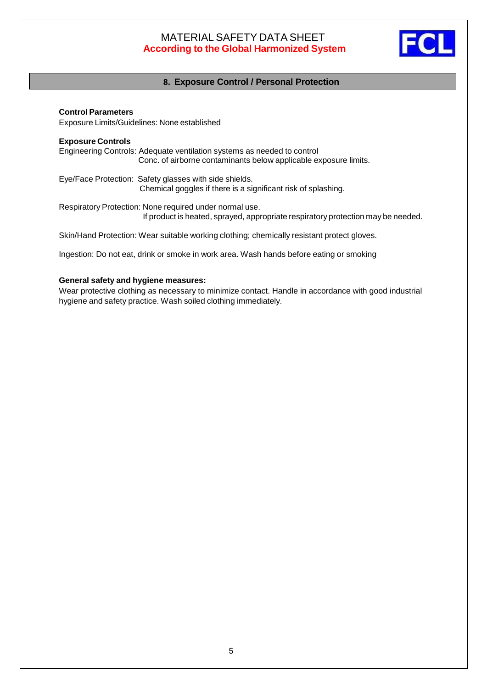

## **8. Exposure Control / Personal Protection**

**Control Parameters** Exposure Limits/Guidelines: None established

### **Exposure Controls**

Engineering Controls: Adequate ventilation systems as needed to control Conc. of airborne contaminants below applicable exposure limits.

Eye/Face Protection: Safety glasses with side shields. Chemical goggles if there is a significant risk of splashing.

Respiratory Protection: None required under normal use. If product is heated, sprayed, appropriate respiratory protection may be needed.

Skin/Hand Protection: Wear suitable working clothing; chemically resistant protect gloves.

Ingestion: Do not eat, drink or smoke in work area. Wash hands before eating or smoking

### **General safety and hygiene measures:**

Wear protective clothing as necessary to minimize contact. Handle in accordance with good industrial hygiene and safety practice. Wash soiled clothing immediately.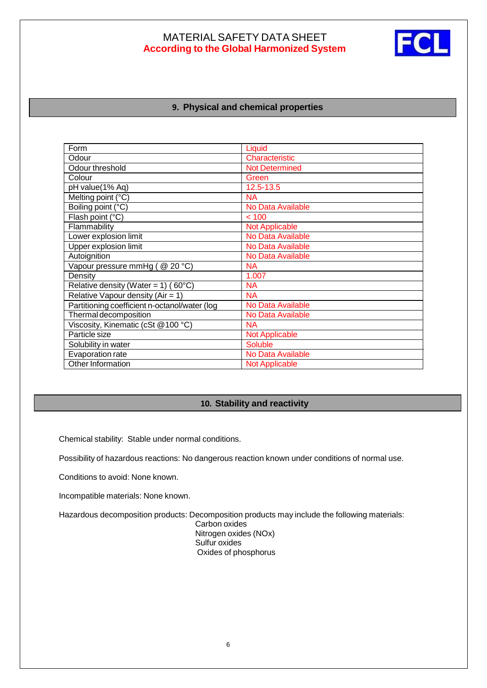

## **9. Physical and chemical properties**

| Form                                          | Liquid                |
|-----------------------------------------------|-----------------------|
| Odour                                         | Characteristic        |
| Odour threshold                               | <b>Not Determined</b> |
| Colour                                        | Green                 |
| pH value(1% Aq)                               | 12.5-13.5             |
| Melting point (°C)                            | <b>NA</b>             |
| Boiling point (°C)                            | No Data Available     |
| Flash point (°C)                              | < 100                 |
| Flammability                                  | <b>Not Applicable</b> |
| Lower explosion limit                         | No Data Available     |
| Upper explosion limit                         | No Data Available     |
| Autoignition                                  | No Data Available     |
| Vapour pressure mmHg (@ 20 °C)                | <b>NA</b>             |
| Density                                       | 1.007                 |
| Relative density (Water = $1)$ (60°C)         | <b>NA</b>             |
| Relative Vapour density ( $Air = 1$ )         | <b>NA</b>             |
| Partitioning coefficient n-octanol/water (log | No Data Available     |
| Thermal decomposition                         | No Data Available     |
| Viscosity, Kinematic (cSt @100 °C)            | <b>NA</b>             |
| Particle size                                 | <b>Not Applicable</b> |
| Solubility in water                           | <b>Soluble</b>        |
| Evaporation rate                              | No Data Available     |
| Other Information                             | <b>Not Applicable</b> |

### **10. Stability and reactivity**

Chemical stability: Stable under normal conditions.

Possibility of hazardous reactions: No dangerous reaction known under conditions of normal use.

Conditions to avoid: None known.

 $\overline{a}$ 

Incompatible materials: None known.

Hazardous decomposition products: Decomposition products may include the following materials:

Carbon oxides Nitrogen oxides (NOx) Sulfur oxides Oxides of phosphorus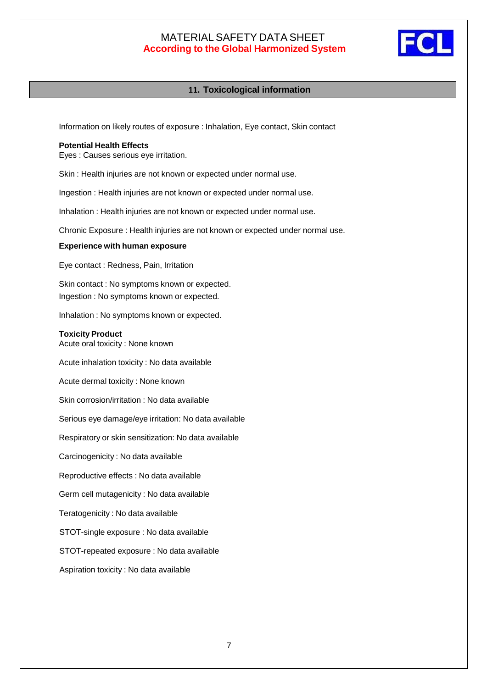

## **11. Toxicological information**

Information on likely routes of exposure : Inhalation, Eye contact, Skin contact

#### **Potential Health Effects**

Eyes : Causes serious eye irritation.

Skin : Health injuries are not known or expected under normal use.

Ingestion : Health injuries are not known or expected under normal use.

Inhalation : Health injuries are not known or expected under normal use.

Chronic Exposure : Health injuries are not known or expected under normal use.

#### **Experience with human exposure**

Eye contact : Redness, Pain, Irritation

Skin contact : No symptoms known or expected. Ingestion : No symptoms known or expected.

Inhalation : No symptoms known or expected.

#### **Toxicity Product**

Acute oral toxicity : None known

Acute inhalation toxicity : No data available

Acute dermal toxicity : None known

Skin corrosion/irritation : No data available

Serious eye damage/eye irritation: No data available

Respiratory or skin sensitization: No data available

Carcinogenicity : No data available

Reproductive effects : No data available

Germ cell mutagenicity : No data available

Teratogenicity : No data available

STOT-single exposure : No data available

STOT-repeated exposure : No data available

Aspiration toxicity : No data available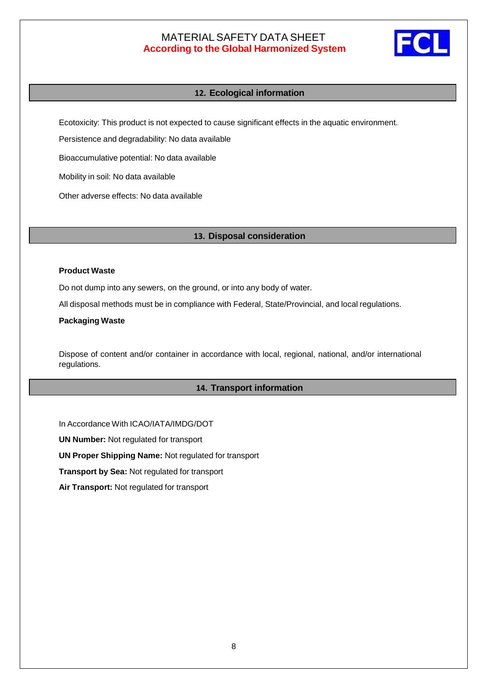

## **12. Ecological information**

Ecotoxicity: This product is not expected to cause significant effects in the aquatic environment.

Persistence and degradability: No data available

Bioaccumulative potential: No data available

Mobility in soil: No data available

Other adverse effects: No data available

### **13. Disposal consideration**

#### **Product Waste**

Do not dump into any sewers, on the ground, or into any body of water.

All disposal methods must be in compliance with Federal, State/Provincial, and local regulations.

#### **Packaging Waste**

Dispose of content and/or container in accordance with local, regional, national, and/or international regulations.

#### **14. Transport information**

In Accordance With ICAO/IATA/IMDG/DOT

**UN Number:** Not regulated for transport

**UN Proper Shipping Name:** Not regulated for transport

**Transport by Sea:** Not regulated for transport

**Air Transport:** Not regulated for transport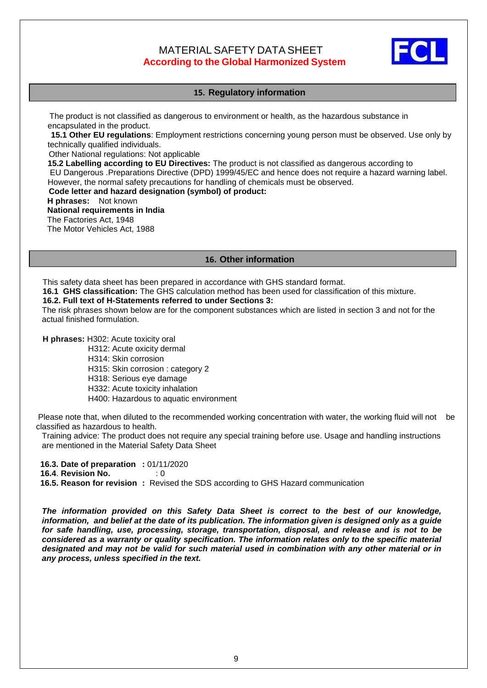

## **15. Regulatory information**

 The product is not classified as dangerous to environment or health, as the hazardous substance in encapsulated in the product.

 **15.1 Other EU regulations**: Employment restrictions concerning young person must be observed. Use only by technically qualified individuals.

Other National regulations: Not applicable

**15.2 Labelling according to EU Directives:** The product is not classified as dangerous according to EU Dangerous .Preparations Directive (DPD) 1999/45/EC and hence does not require a hazard warning label. However, the normal safety precautions for handling of chemicals must be observed.

 **Code letter and hazard designation (symbol) of product:**

 **H phrases:** Not known **National requirements in India** The Factories Act, 1948 The Motor Vehicles Act, 1988

## **16. Other information**

This safety data sheet has been prepared in accordance with GHS standard format.

 **16.1 GHS classification:** The GHS calculation method has been used for classification of this mixture.

### **16.2. Full text of H-Statements referred to under Sections 3:**

The risk phrases shown below are for the component substances which are listed in section 3 and not for the actual finished formulation.

 **H phrases:** H302: Acute toxicity oral

H312: Acute oxicity dermal

H314: Skin corrosion

H315: Skin corrosion : category 2

H318: Serious eye damage

H332: Acute toxicity inhalation

H400: Hazardous to aquatic environment

Please note that, when diluted to the recommended working concentration with water, the working fluid will not be classified as hazardous to health.

Training advice: The product does not require any special training before use. Usage and handling instructions are mentioned in the Material Safety Data Sheet

 **16.3. Date of preparation :** 01/11/2020

 **16.4**. **Revision No.** : 0

 **16.5. Reason for revision :** Revised the SDS according to GHS Hazard communication

*The information provided on this Safety Data Sheet is correct to the best of our knowledge, information, and belief at the date of its publication. The information given is designed only as a guide for safe handling, use, processing, storage, transportation, disposal, and release and is not to be considered as a warranty or quality specification. The information relates only to the specific material designated and may not be valid for such material used in combination with any other material or in any process, unless specified in the text.*